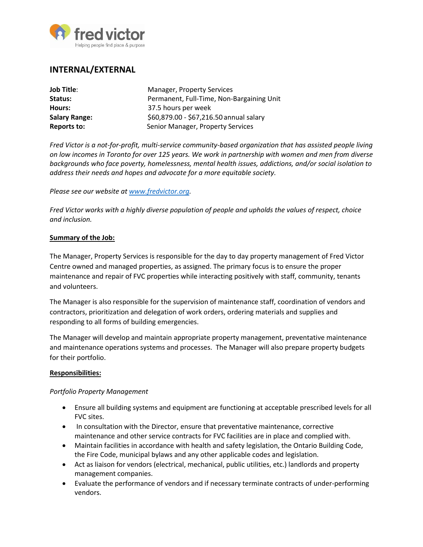

# **INTERNAL/EXTERNAL**

| <b>Job Title:</b>    | <b>Manager, Property Services</b>         |
|----------------------|-------------------------------------------|
| Status:              | Permanent, Full-Time, Non-Bargaining Unit |
| Hours:               | 37.5 hours per week                       |
| <b>Salary Range:</b> | \$60,879.00 - \$67,216.50 annual salary   |
| Reports to:          | Senior Manager, Property Services         |

*Fred Victor is a not-for-profit, multi-service community-based organization that has assisted people living on low incomes in Toronto for over 125 years. We work in partnership with women and men from diverse backgrounds who face poverty, homelessness, mental health issues, addictions, and/or social isolation to address their needs and hopes and advocate for a more equitable society.* 

#### *Please see our website at [www.fredvictor.org.](http://www.fredvictor.org/)*

*Fred Victor works with a highly diverse population of people and upholds the values of respect, choice and inclusion.*

#### **Summary of the Job:**

The Manager, Property Services is responsible for the day to day property management of Fred Victor Centre owned and managed properties, as assigned. The primary focus is to ensure the proper maintenance and repair of FVC properties while interacting positively with staff, community, tenants and volunteers.

The Manager is also responsible for the supervision of maintenance staff, coordination of vendors and contractors, prioritization and delegation of work orders, ordering materials and supplies and responding to all forms of building emergencies.

The Manager will develop and maintain appropriate property management, preventative maintenance and maintenance operations systems and processes. The Manager will also prepare property budgets for their portfolio.

#### **Responsibilities:**

### *Portfolio Property Management*

- Ensure all building systems and equipment are functioning at acceptable prescribed levels for all FVC sites.
- In consultation with the Director, ensure that preventative maintenance, corrective maintenance and other service contracts for FVC facilities are in place and complied with.
- Maintain facilities in accordance with health and safety legislation, the Ontario Building Code, the Fire Code, municipal bylaws and any other applicable codes and legislation.
- Act as liaison for vendors (electrical, mechanical, public utilities, etc.) landlords and property management companies.
- Evaluate the performance of vendors and if necessary terminate contracts of under-performing vendors.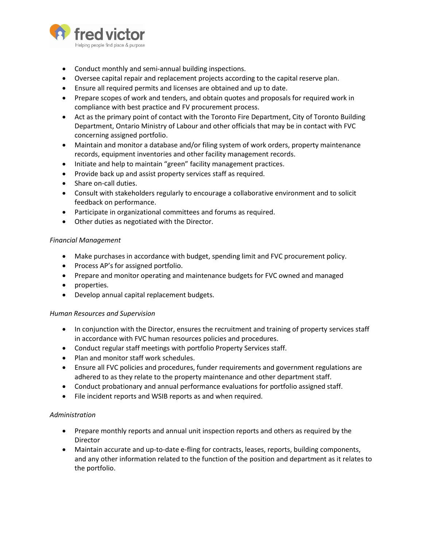

- Conduct monthly and semi-annual building inspections.
- Oversee capital repair and replacement projects according to the capital reserve plan.
- Ensure all required permits and licenses are obtained and up to date.
- Prepare scopes of work and tenders, and obtain quotes and proposals for required work in compliance with best practice and FV procurement process.
- Act as the primary point of contact with the Toronto Fire Department, City of Toronto Building Department, Ontario Ministry of Labour and other officials that may be in contact with FVC concerning assigned portfolio.
- Maintain and monitor a database and/or filing system of work orders, property maintenance records, equipment inventories and other facility management records.
- Initiate and help to maintain "green" facility management practices.
- Provide back up and assist property services staff as required.
- Share on-call duties.
- Consult with stakeholders regularly to encourage a collaborative environment and to solicit feedback on performance.
- Participate in organizational committees and forums as required.
- Other duties as negotiated with the Director.

### *Financial Management*

- Make purchases in accordance with budget, spending limit and FVC procurement policy.
- Process AP's for assigned portfolio.
- Prepare and monitor operating and maintenance budgets for FVC owned and managed
- properties.
- Develop annual capital replacement budgets.

### *Human Resources and Supervision*

- In conjunction with the Director, ensures the recruitment and training of property services staff in accordance with FVC human resources policies and procedures.
- Conduct regular staff meetings with portfolio Property Services staff.
- Plan and monitor staff work schedules.
- Ensure all FVC policies and procedures, funder requirements and government regulations are adhered to as they relate to the property maintenance and other department staff.
- Conduct probationary and annual performance evaluations for portfolio assigned staff.
- File incident reports and WSIB reports as and when required.

### *Administration*

- Prepare monthly reports and annual unit inspection reports and others as required by the Director
- Maintain accurate and up-to-date e-fling for contracts, leases, reports, building components, and any other information related to the function of the position and department as it relates to the portfolio.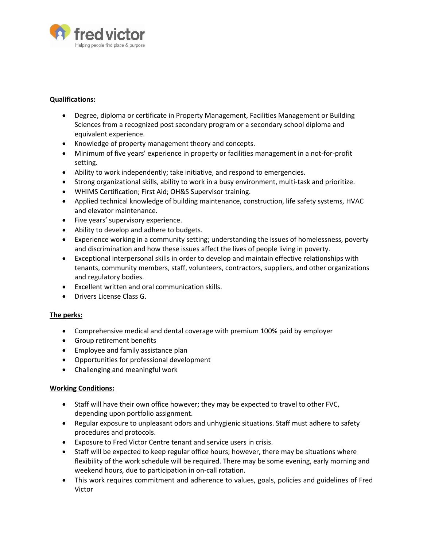

#### **Qualifications:**

- Degree, diploma or certificate in Property Management, Facilities Management or Building Sciences from a recognized post secondary program or a secondary school diploma and equivalent experience.
- Knowledge of property management theory and concepts.
- Minimum of five years' experience in property or facilities management in a not-for-profit setting.
- Ability to work independently; take initiative, and respond to emergencies.
- Strong organizational skills, ability to work in a busy environment, multi-task and prioritize.
- WHIMS Certification; First Aid; OH&S Supervisor training.
- Applied technical knowledge of building maintenance, construction, life safety systems, HVAC and elevator maintenance.
- Five years' supervisory experience.
- Ability to develop and adhere to budgets.
- Experience working in a community setting; understanding the issues of homelessness, poverty and discrimination and how these issues affect the lives of people living in poverty.
- Exceptional interpersonal skills in order to develop and maintain effective relationships with tenants, community members, staff, volunteers, contractors, suppliers, and other organizations and regulatory bodies.
- Excellent written and oral communication skills.
- Drivers License Class G.

### **The perks:**

- Comprehensive medical and dental coverage with premium 100% paid by employer
- Group retirement benefits
- Employee and family assistance plan
- Opportunities for professional development
- Challenging and meaningful work

### **Working Conditions:**

- Staff will have their own office however; they may be expected to travel to other FVC, depending upon portfolio assignment.
- Regular exposure to unpleasant odors and unhygienic situations. Staff must adhere to safety procedures and protocols.
- Exposure to Fred Victor Centre tenant and service users in crisis.
- Staff will be expected to keep regular office hours; however, there may be situations where flexibility of the work schedule will be required. There may be some evening, early morning and weekend hours, due to participation in on-call rotation.
- This work requires commitment and adherence to values, goals, policies and guidelines of Fred Victor